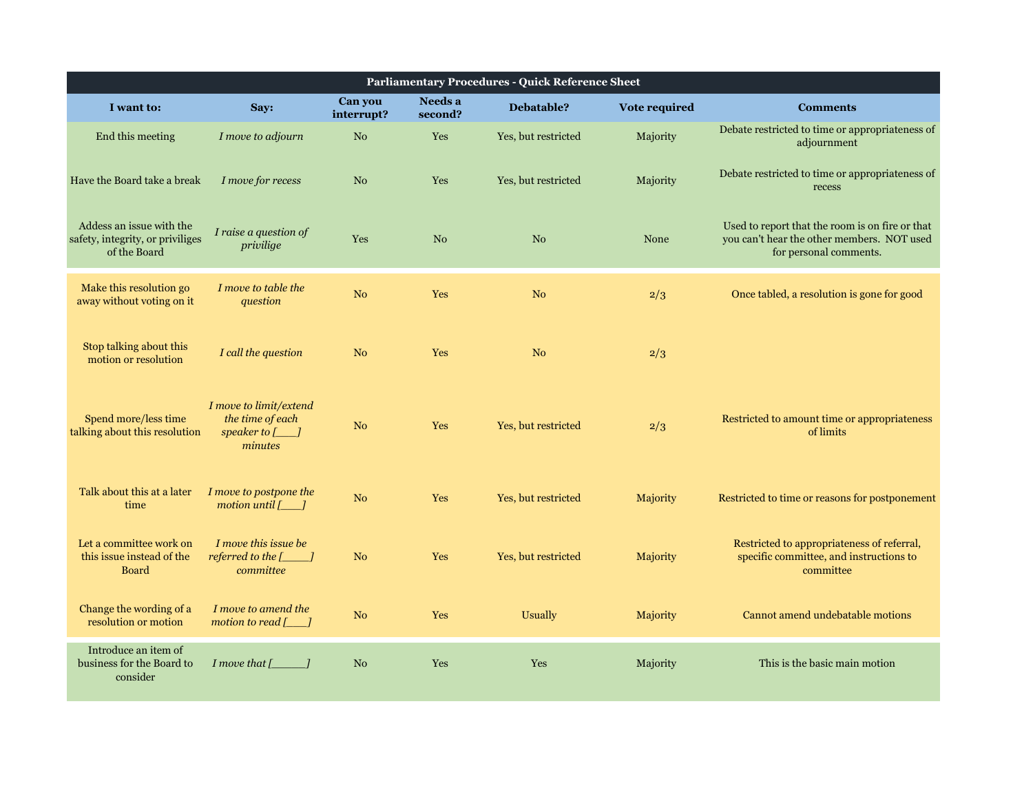| I want to:                                                                   | Say:                                                                        | Can you<br>interrupt? | Needs a<br>second? | Debatable?          | Vote required | <b>Comments</b>                                                                                                         |
|------------------------------------------------------------------------------|-----------------------------------------------------------------------------|-----------------------|--------------------|---------------------|---------------|-------------------------------------------------------------------------------------------------------------------------|
| End this meeting                                                             | I move to adjourn                                                           | N <sub>o</sub>        | Yes                | Yes, but restricted | Majority      | Debate restricted to time or appropriateness of<br>adjournment                                                          |
| Have the Board take a break                                                  | I move for recess                                                           | N <sub>o</sub>        | Yes                | Yes, but restricted | Majority      | Debate restricted to time or appropriateness of<br>recess                                                               |
| Addess an issue with the<br>safety, integrity, or priviliges<br>of the Board | I raise a question of<br>privilige                                          | <b>Yes</b>            | N <sub>o</sub>     | N <sub>o</sub>      | None          | Used to report that the room is on fire or that<br>you can't hear the other members. NOT used<br>for personal comments. |
| Make this resolution go<br>away without voting on it                         | I move to table the<br>question                                             | N <sub>o</sub>        | Yes                | N <sub>o</sub>      | 2/3           | Once tabled, a resolution is gone for good                                                                              |
| Stop talking about this<br>motion or resolution                              | I call the question                                                         | N <sub>o</sub>        | Yes                | N <sub>o</sub>      | 2/3           |                                                                                                                         |
| Spend more/less time<br>talking about this resolution                        | I move to limit/extend<br>the time of each<br>speaker to $[\_\]$<br>minutes | N <sub>o</sub>        | Yes                | Yes, but restricted | 2/3           | Restricted to amount time or appropriateness<br>of limits                                                               |
| Talk about this at a later<br>time                                           | I move to postpone the<br>motion until $[\_]$                               | N <sub>o</sub>        | Yes                | Yes, but restricted | Majority      | Restricted to time or reasons for postponement                                                                          |
| Let a committee work on<br>this issue instead of the<br><b>Board</b>         | I move this issue be<br>referred to the $[\_$ $]$<br>committee              | N <sub>o</sub>        | Yes                | Yes, but restricted | Majority      | Restricted to appropriateness of referral,<br>specific committee, and instructions to<br>committee                      |
| Change the wording of a<br>resolution or motion                              | I move to amend the<br>motion to read $[\ ]$                                | N <sub>o</sub>        | Yes                | <b>Usually</b>      | Majority      | Cannot amend undebatable motions                                                                                        |
| Introduce an item of<br>business for the Board to<br>consider                | I move that $[\_$ $]$                                                       | N <sub>o</sub>        | Yes                | Yes                 | Majority      | This is the basic main motion                                                                                           |